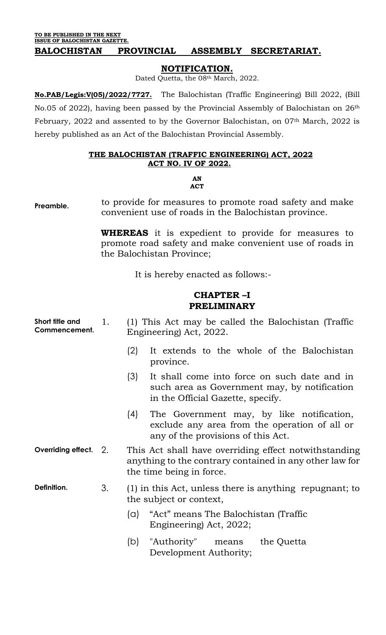**TO BE PUBLISHED IN THE NEXT ISSUE OF BALOCHISTAN GAZETTE.**

#### **BALOCHISTAN PROVINCIAL ASSEMBLY SECRETARIAT.**

#### **NOTIFICATION.**

Dated Quetta, the 08<sup>th</sup> March, 2022.

**No.PAB/Legis:V(05)/2022/7727.** The Balochistan (Traffic Engineering) Bill 2022, (Bill No.05 of 2022), having been passed by the Provincial Assembly of Balochistan on 26th February, 2022 and assented to by the Governor Balochistan, on 07<sup>th</sup> March, 2022 is hereby published as an Act of the Balochistan Provincial Assembly.

#### **THE BALOCHISTAN (TRAFFIC ENGINEERING) ACT, 2022 ACT NO. IV OF 2022.**

#### **AN ACT**

**Preamble.** to provide for measures to promote road safety and make convenient use of roads in the Balochistan province.

> **WHEREAS** it is expedient to provide for measures to promote road safety and make convenient use of roads in the Balochistan Province;

> > It is hereby enacted as follows:-

#### **CHAPTER –I PRELIMINARY**

| Short title and<br>Commencement. | 1. |          | (1) This Act may be called the Balochistan (Traffic<br>Engineering) Act, 2022.                                                                 |
|----------------------------------|----|----------|------------------------------------------------------------------------------------------------------------------------------------------------|
|                                  |    | (2)      | It extends to the whole of the Balochistan<br>province.                                                                                        |
|                                  |    | (3)      | It shall come into force on such date and in<br>such area as Government may, by notification<br>in the Official Gazette, specify.              |
|                                  |    | (4)      | The Government may, by like notification,<br>exclude any area from the operation of all or<br>any of the provisions of this Act.               |
| Overriding effect. 2.            |    |          | This Act shall have overriding effect not with standing<br>anything to the contrary contained in any other law for<br>the time being in force. |
| Definition.                      | 3. |          | (1) in this Act, unless there is anything repugnant; to<br>the subject or context,                                                             |
|                                  |    | $\alpha$ | "Act" means The Balochistan (Traffic<br>Engineering) Act, 2022;                                                                                |
|                                  |    | (b)      | "Authority" means<br>the Quetta<br>Development Authority;                                                                                      |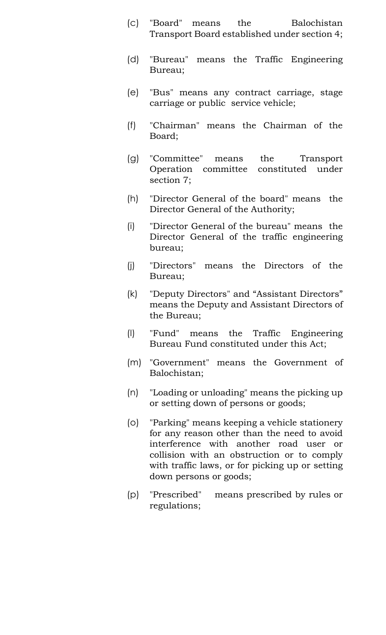- (c) "Board" means the Balochistan Transport Board established under section 4;
- (d) "Bureau" means the Traffic Engineering Bureau;
- (e) "Bus" means any contract carriage, stage carriage or public service vehicle;
- (f) "Chairman" means the Chairman of the Board;
- (g) "Committee" means the Transport Operation committee constituted under section 7;
- (h) "Director General of the board" means the Director General of the Authority;
- (i) "Director General of the bureau" means the Director General of the traffic engineering bureau;
- (j) "Directors" means the Directors of the Bureau;
- (k) "Deputy Directors" and "Assistant Directors" means the Deputy and Assistant Directors of the Bureau;
- (l) "Fund" means the Traffic Engineering Bureau Fund constituted under this Act;
- (m) "Government" means the Government of Balochistan;
- (n) "Loading or unloading" means the picking up or setting down of persons or goods;
- (o) "Parking" means keeping a vehicle stationery for any reason other than the need to avoid interference with another road user or collision with an obstruction or to comply with traffic laws, or for picking up or setting down persons or goods;
- (p) "Prescribed" means prescribed by rules or regulations;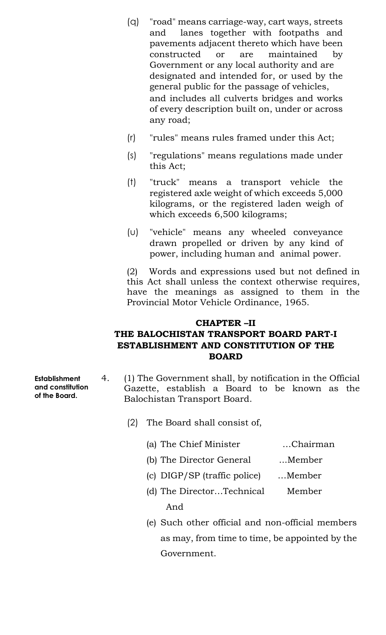- (q) "road" means carriage-way, cart ways, streets and lanes together with footpaths and pavements adjacent thereto which have been constructed or are maintained by Government or any local authority and are designated and intended for, or used by the general public for the passage of vehicles, and includes all culverts bridges and works of every description built on, under or across any road;
- (r) "rules" means rules framed under this Act;
- (s) "regulations" means regulations made under this Act;
- (t) "truck" means a transport vehicle the registered axle weight of which exceeds 5,000 kilograms, or the registered laden weigh of which exceeds 6,500 kilograms;
- (u) "vehicle" means any wheeled conveyance drawn propelled or driven by any kind of power, including human and animal power.

(2) Words and expressions used but not defined in this Act shall unless the context otherwise requires, have the meanings as assigned to them in the Provincial Motor Vehicle Ordinance, 1965.

## **CHAPTER –II THE BALOCHISTAN TRANSPORT BOARD PART-I ESTABLISHMENT AND CONSTITUTION OF THE BOARD**

- 4. (1) The Government shall, by notification in the Official Gazette, establish a Board to be known as the Balochistan Transport Board.
	- (2) The Board shall consist of,
		- (a) The Chief Minister …Chairman
		- (b) The Director General ...Member
		- (c) DIGP/SP (traffic police) …Member
		- (d) The Director…Technical Member And
		- (e) Such other official and non-official members as may, from time to time, be appointed by the Government.

**Establishment and constitution of the Board.**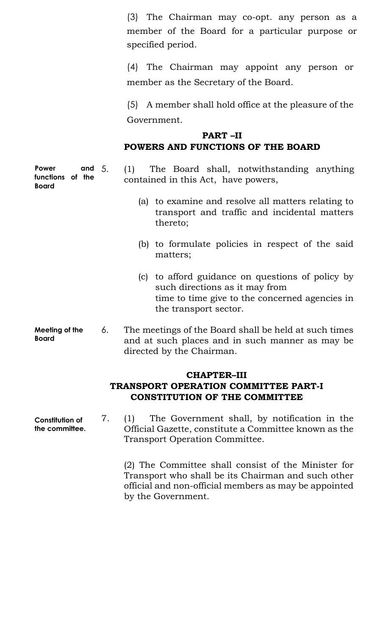(3) The Chairman may co-opt. any person as a member of the Board for a particular purpose or specified period.

(4) The Chairman may appoint any person or member as the Secretary of the Board.

(5) A member shall hold office at the pleasure of the Government.

# **PART –II POWERS AND FUNCTIONS OF THE BOARD**

5. (1) The Board shall, notwithstanding anything contained in this Act, have powers,

- (a) to examine and resolve all matters relating to transport and traffic and incidental matters thereto;
- (b) to formulate policies in respect of the said matters;
- (c) to afford guidance on questions of policy by such directions as it may from time to time give to the concerned agencies in the transport sector.
- 6. The meetings of the Board shall be held at such times and at such places and in such manner as may be directed by the Chairman.

#### **CHAPTER–III TRANSPORT OPERATION COMMITTEE PART-I CONSTITUTION OF THE COMMITTEE**

7. (1) The Government shall, by notification in the Official Gazette, constitute a Committee known as the Transport Operation Committee.

> (2) The Committee shall consist of the Minister for Transport who shall be its Chairman and such other official and non-official members as may be appointed by the Government.

**Power** and 5. **functions of the Board**

**Meeting of the Board**

**Constitution of the committee.**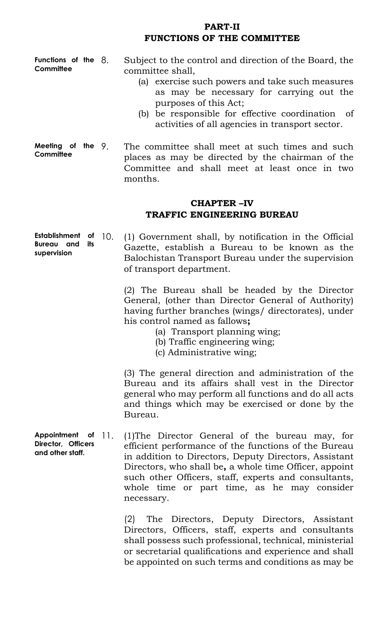### **PART-II FUNCTIONS OF THE COMMITTEE**

**Functions of the Committee**

Subject to the control and direction of the Board, the committee shall,

- (a) exercise such powers and take such measures as may be necessary for carrying out the purposes of this Act;
- (b) be responsible for effective coordination of activities of all agencies in transport sector.
- **Meeting of the Committee** The committee shall meet at such times and such places as may be directed by the chairman of the Committee and shall meet at least once in two months.

# **CHAPTER –IV TRAFFIC ENGINEERING BUREAU**

**Establishment of Bureau and its supervision** 10. (1) Government shall, by notification in the Official Gazette, establish a Bureau to be known as the Balochistan Transport Bureau under the supervision of transport department.

> (2) The Bureau shall be headed by the Director General, (other than Director General of Authority) having further branches (wings/ directorates), under his control named as fallows**;**

- (a) Transport planning wing;
- (b) Traffic engineering wing;
- (c) Administrative wing;

(3) The general direction and administration of the Bureau and its affairs shall vest in the Director general who may perform all functions and do all acts and things which may be exercised or done by the Bureau.

**Appointment of Director, Officers and other staff.** 11. (1)The Director General of the bureau may, for efficient performance of the functions of the Bureau in addition to Directors, Deputy Directors, Assistant Directors, who shall be**,** a whole time Officer, appoint such other Officers, staff, experts and consultants, whole time or part time, as he may consider necessary.

> (2) The Directors, Deputy Directors, Assistant Directors, Officers, staff, experts and consultants shall possess such professional, technical, ministerial or secretarial qualifications and experience and shall be appointed on such terms and conditions as may be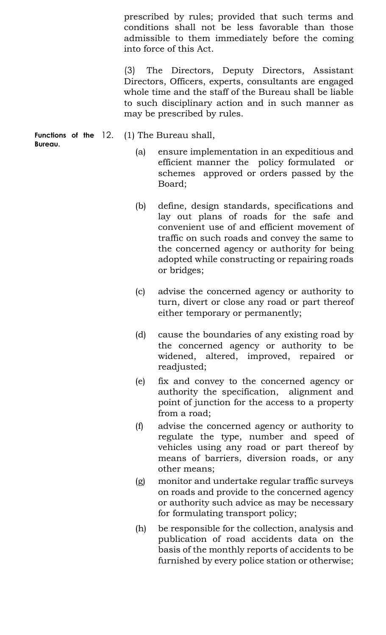prescribed by rules; provided that such terms and conditions shall not be less favorable than those admissible to them immediately before the coming into force of this Act.

(3) The Directors, Deputy Directors, Assistant Directors, Officers, experts, consultants are engaged whole time and the staff of the Bureau shall be liable to such disciplinary action and in such manner as may be prescribed by rules.

**Functions of the Bureau.** (1) The Bureau shall,

- (a) ensure implementation in an expeditious and efficient manner the policy formulated or schemes approved or orders passed by the Board;
- (b) define, design standards, specifications and lay out plans of roads for the safe and convenient use of and efficient movement of traffic on such roads and convey the same to the concerned agency or authority for being adopted while constructing or repairing roads or bridges;
- (c) advise the concerned agency or authority to turn, divert or close any road or part thereof either temporary or permanently;
- (d) cause the boundaries of any existing road by the concerned agency or authority to be widened, altered, improved, repaired or readjusted;
- (e) fix and convey to the concerned agency or authority the specification, alignment and point of junction for the access to a property from a road;
- (f) advise the concerned agency or authority to regulate the type, number and speed of vehicles using any road or part thereof by means of barriers, diversion roads, or any other means;
- (g) monitor and undertake regular traffic surveys on roads and provide to the concerned agency or authority such advice as may be necessary for formulating transport policy;
- (h) be responsible for the collection, analysis and publication of road accidents data on the basis of the monthly reports of accidents to be furnished by every police station or otherwise;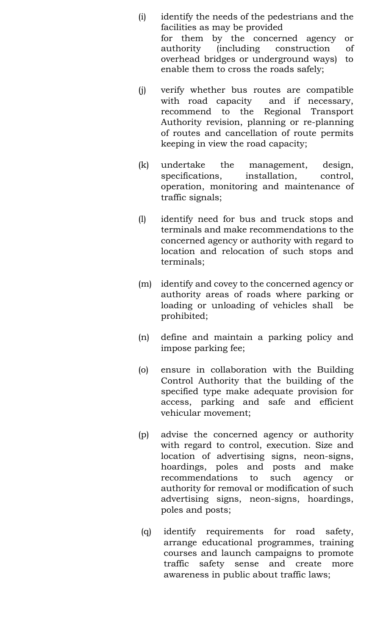- (i) identify the needs of the pedestrians and the facilities as may be provided for them by the concerned agency or authority (including construction of overhead bridges or underground ways) to enable them to cross the roads safely;
- (j) verify whether bus routes are compatible with road capacity and if necessary, recommend to the Regional Transport Authority revision, planning or re-planning of routes and cancellation of route permits keeping in view the road capacity;
- (k) undertake the management, design, specifications, installation, control, operation, monitoring and maintenance of traffic signals;
- (l) identify need for bus and truck stops and terminals and make recommendations to the concerned agency or authority with regard to location and relocation of such stops and terminals;
- (m) identify and covey to the concerned agency or authority areas of roads where parking or loading or unloading of vehicles shall be prohibited;
- (n) define and maintain a parking policy and impose parking fee;
- (o) ensure in collaboration with the Building Control Authority that the building of the specified type make adequate provision for access, parking and safe and efficient vehicular movement;
- (p) advise the concerned agency or authority with regard to control, execution. Size and location of advertising signs, neon-signs, hoardings, poles and posts and make recommendations to such agency or authority for removal or modification of such advertising signs, neon-signs, hoardings, poles and posts;
- (q) identify requirements for road safety, arrange educational programmes, training courses and launch campaigns to promote traffic safety sense and create more awareness in public about traffic laws;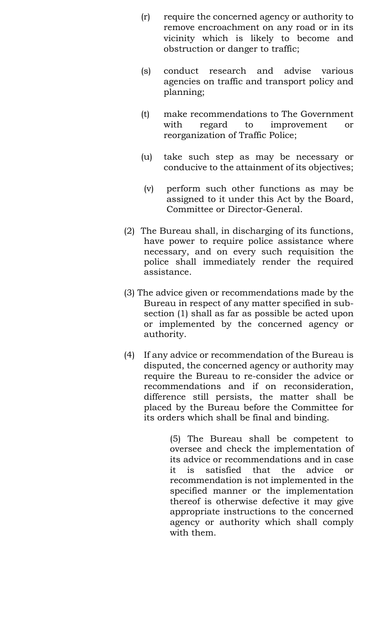- (r) require the concerned agency or authority to remove encroachment on any road or in its vicinity which is likely to become and obstruction or danger to traffic;
- (s) conduct research and advise various agencies on traffic and transport policy and planning;
- (t) make recommendations to The Government with regard to improvement or reorganization of Traffic Police;
- (u) take such step as may be necessary or conducive to the attainment of its objectives;
- (v) perform such other functions as may be assigned to it under this Act by the Board, Committee or Director-General.
- (2) The Bureau shall, in discharging of its functions, have power to require police assistance where necessary, and on every such requisition the police shall immediately render the required assistance.
- (3) The advice given or recommendations made by the Bureau in respect of any matter specified in subsection (1) shall as far as possible be acted upon or implemented by the concerned agency or authority.
- (4) If any advice or recommendation of the Bureau is disputed, the concerned agency or authority may require the Bureau to re-consider the advice or recommendations and if on reconsideration, difference still persists, the matter shall be placed by the Bureau before the Committee for its orders which shall be final and binding.

(5) The Bureau shall be competent to oversee and check the implementation of its advice or recommendations and in case it is satisfied that the advice or recommendation is not implemented in the specified manner or the implementation thereof is otherwise defective it may give appropriate instructions to the concerned agency or authority which shall comply with them.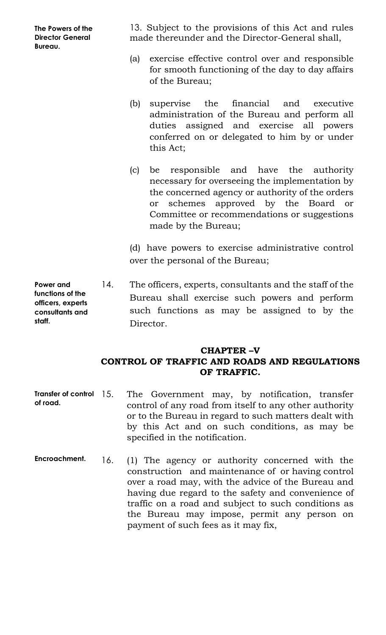**The Powers of the Director General Bureau.**

13. Subject to the provisions of this Act and rules made thereunder and the Director-General shall,

- (a) exercise effective control over and responsible for smooth functioning of the day to day affairs of the Bureau;
- (b) supervise the financial and executive administration of the Bureau and perform all duties assigned and exercise all powers conferred on or delegated to him by or under this Act;
- (c) be responsible and have the authority necessary for overseeing the implementation by the concerned agency or authority of the orders or schemes approved by the Board or Committee or recommendations or suggestions made by the Bureau;

(d) have powers to exercise administrative control over the personal of the Bureau;

14. The officers, experts, consultants and the staff of the Bureau shall exercise such powers and perform such functions as may be assigned to by the Director.

# **CHAPTER –V CONTROL OF TRAFFIC AND ROADS AND REGULATIONS OF TRAFFIC.**

- **Transfer of control of road.** The Government may, by notification, transfer control of any road from itself to any other authority or to the Bureau in regard to such matters dealt with by this Act and on such conditions, as may be specified in the notification.
- **Encroachment.** 16. (1) The agency or authority concerned with the construction and maintenance of or having control over a road may, with the advice of the Bureau and having due regard to the safety and convenience of traffic on a road and subject to such conditions as the Bureau may impose, permit any person on payment of such fees as it may fix,

**Power and functions of the officers, experts consultants and staff.**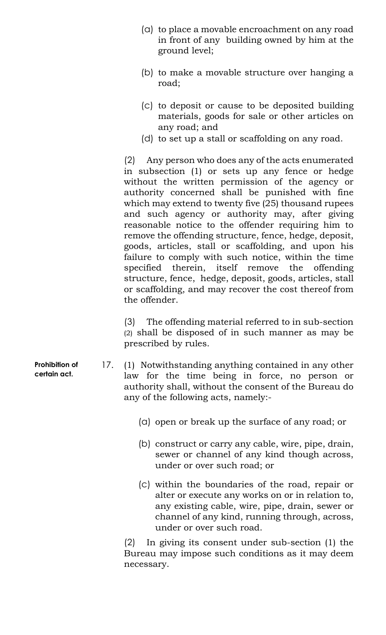- (a) to place a movable encroachment on any road in front of any building owned by him at the ground level;
- (b) to make a movable structure over hanging a road;
- (c) to deposit or cause to be deposited building materials, goods for sale or other articles on any road; and
- (d) to set up a stall or scaffolding on any road.

(2) Any person who does any of the acts enumerated in subsection (1) or sets up any fence or hedge without the written permission of the agency or authority concerned shall be punished with fine which may extend to twenty five (25) thousand rupees and such agency or authority may, after giving reasonable notice to the offender requiring him to remove the offending structure, fence, hedge, deposit, goods, articles, stall or scaffolding, and upon his failure to comply with such notice, within the time specified therein, itself remove the offending structure, fence, hedge, deposit, goods, articles, stall or scaffolding, and may recover the cost thereof from the offender.

(3) The offending material referred to in sub-section (2) shall be disposed of in such manner as may be prescribed by rules.

17. (1) Notwithstanding anything contained in any other law for the time being in force, no person or authority shall, without the consent of the Bureau do any of the following acts, namely:-

- (a) open or break up the surface of any road; or
- (b) construct or carry any cable, wire, pipe, drain, sewer or channel of any kind though across, under or over such road; or
- (c) within the boundaries of the road, repair or alter or execute any works on or in relation to, any existing cable, wire, pipe, drain, sewer or channel of any kind, running through, across, under or over such road.

(2) In giving its consent under sub-section (1) the Bureau may impose such conditions as it may deem necessary.

**Prohibition of certain act.**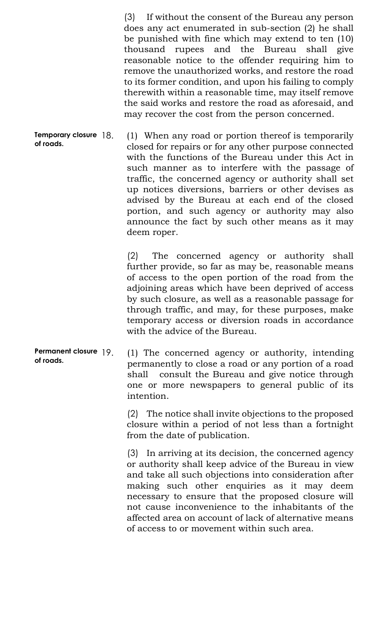(3) If without the consent of the Bureau any person does any act enumerated in sub-section (2) he shall be punished with fine which may extend to ten (10) thousand rupees and the Bureau shall give reasonable notice to the offender requiring him to remove the unauthorized works, and restore the road to its former condition, and upon his failing to comply therewith within a reasonable time, may itself remove the said works and restore the road as aforesaid, and may recover the cost from the person concerned.

**Temporary closure of roads.** 18. (1) When any road or portion thereof is temporarily closed for repairs or for any other purpose connected with the functions of the Bureau under this Act in such manner as to interfere with the passage of traffic, the concerned agency or authority shall set up notices diversions, barriers or other devises as advised by the Bureau at each end of the closed portion, and such agency or authority may also announce the fact by such other means as it may deem roper.

> (2) The concerned agency or authority shall further provide, so far as may be, reasonable means of access to the open portion of the road from the adjoining areas which have been deprived of access by such closure, as well as a reasonable passage for through traffic, and may, for these purposes, make temporary access or diversion roads in accordance with the advice of the Bureau.

**Permanent closure of roads.** 19. (1) The concerned agency or authority, intending permanently to close a road or any portion of a road shall consult the Bureau and give notice through one or more newspapers to general public of its intention.

> (2) The notice shall invite objections to the proposed closure within a period of not less than a fortnight from the date of publication.

> (3) In arriving at its decision, the concerned agency or authority shall keep advice of the Bureau in view and take all such objections into consideration after making such other enquiries as it may deem necessary to ensure that the proposed closure will not cause inconvenience to the inhabitants of the affected area on account of lack of alternative means of access to or movement within such area.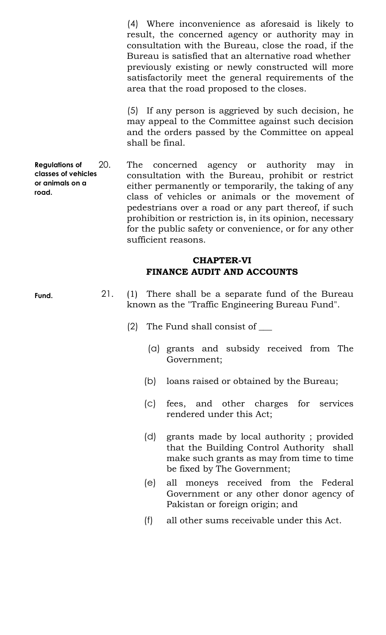(4) Where inconvenience as aforesaid is likely to result, the concerned agency or authority may in consultation with the Bureau, close the road, if the Bureau is satisfied that an alternative road whether previously existing or newly constructed will more satisfactorily meet the general requirements of the area that the road proposed to the closes.

(5) If any person is aggrieved by such decision, he may appeal to the Committee against such decision and the orders passed by the Committee on appeal shall be final.

**Regulations of classes of vehicles or animals on a road.** 20. The concerned agency or authority may in consultation with the Bureau, prohibit or restrict either permanently or temporarily, the taking of any class of vehicles or animals or the movement of pedestrians over a road or any part thereof, if such prohibition or restriction is, in its opinion, necessary for the public safety or convenience, or for any other sufficient reasons.

## **CHAPTER-VI FINANCE AUDIT AND ACCOUNTS**

- 21. (1) There shall be a separate fund of the Bureau known as the "Traffic Engineering Bureau Fund".
	- $(2)$  The Fund shall consist of
		- (a) grants and subsidy received from The Government;
		- (b) loans raised or obtained by the Bureau;
		- (c) fees, and other charges for services rendered under this Act;
		- (d) grants made by local authority ; provided that the Building Control Authority shall make such grants as may from time to time be fixed by The Government;
		- (e) all moneys received from the Federal Government or any other donor agency of Pakistan or foreign origin; and
		- (f) all other sums receivable under this Act.

**Fund.**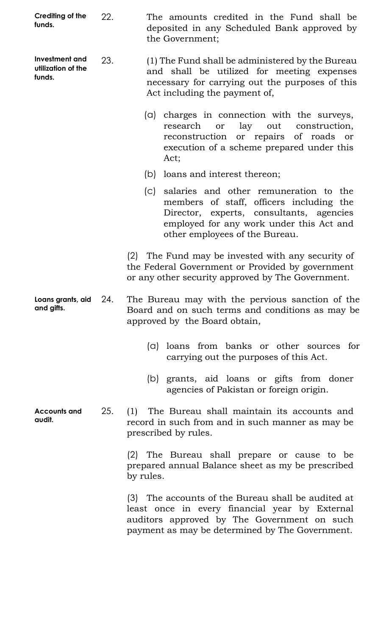| Crediting of the<br>funds.                     | 22. | The amounts credited in the Fund shall be<br>deposited in any Scheduled Bank approved by<br>the Government;                                                                                                      |
|------------------------------------------------|-----|------------------------------------------------------------------------------------------------------------------------------------------------------------------------------------------------------------------|
| Investment and<br>utilization of the<br>funds. | 23. | (1) The Fund shall be administered by the Bureau<br>and shall be utilized for meeting expenses<br>necessary for carrying out the purposes of this<br>Act including the payment of,                               |
|                                                |     | (a) charges in connection with the surveys,<br>lay<br>research<br>out<br>construction,<br>or<br>reconstruction or repairs of roads<br>or<br>execution of a scheme prepared under this<br>Act;                    |
|                                                |     | loans and interest thereon;<br>(b)                                                                                                                                                                               |
|                                                |     | (c) salaries and other remuneration to the<br>members of staff, officers including the<br>Director, experts, consultants, agencies<br>employed for any work under this Act and<br>other employees of the Bureau. |
|                                                |     | (2) The Fund may be invested with any security of<br>the Federal Government or Provided by government<br>or any other security approved by The Government.                                                       |
| Loans grants, aid $24.$<br>and gifts.          |     | The Bureau may with the pervious sanction of the<br>Board and on such terms and conditions as may be<br>approved by the Board obtain,                                                                            |
|                                                |     | loans from banks or other sources for<br>$(\Box)$<br>carrying out the purposes of this Act.                                                                                                                      |
|                                                |     | (b) grants, aid loans or gifts from doner<br>agencies of Pakistan or foreign origin.                                                                                                                             |
| <b>Accounts and</b><br>audit.                  | 25. | (1) The Bureau shall maintain its accounts and<br>record in such from and in such manner as may be<br>prescribed by rules.                                                                                       |
|                                                |     | (2) The Bureau shall prepare or cause to be<br>prepared annual Balance sheet as my be prescribed<br>by rules.                                                                                                    |
|                                                |     | (3) The accounts of the Bureau shall be audited at<br>least once in every financial year by External<br>auditors approved by The Government on such<br>payment as may be determined by The Government.           |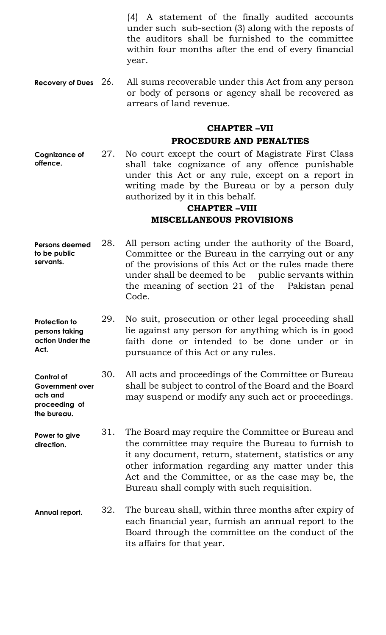(4) A statement of the finally audited accounts under such sub-section (3) along with the reposts of the auditors shall be furnished to the committee within four months after the end of every financial year.

**Recovery of Dues** All sums recoverable under this Act from any person or body of persons or agency shall be recovered as arrears of land revenue.

# **CHAPTER –VII PROCEDURE AND PENALTIES**

**Cognizance of offence.** 27. No court except the court of Magistrate First Class shall take cognizance of any offence punishable under this Act or any rule, except on a report in writing made by the Bureau or by a person duly authorized by it in this behalf.

# **CHAPTER –VIII MISCELLANEOUS PROVISIONS**

- **Persons deemed to be public servants.** 28. All person acting under the authority of the Board, Committee or the Bureau in the carrying out or any of the provisions of this Act or the rules made there under shall be deemed to be public servants within the meaning of section 21 of the Pakistan penal Code.
- **Protection to persons taking action Under the Act.** 29. No suit, prosecution or other legal proceeding shall lie against any person for anything which is in good faith done or intended to be done under or in pursuance of this Act or any rules.
- **Control of Government over acts and proceeding of**  30. All acts and proceedings of the Committee or Bureau shall be subject to control of the Board and the Board may suspend or modify any such act or proceedings.
- **Power to give direction.** 31. The Board may require the Committee or Bureau and the committee may require the Bureau to furnish to it any document, return, statement, statistics or any other information regarding any matter under this Act and the Committee, or as the case may be, the Bureau shall comply with such requisition.

**the bureau.**

**Annual report.** 32. The bureau shall, within three months after expiry of each financial year, furnish an annual report to the Board through the committee on the conduct of the its affairs for that year.